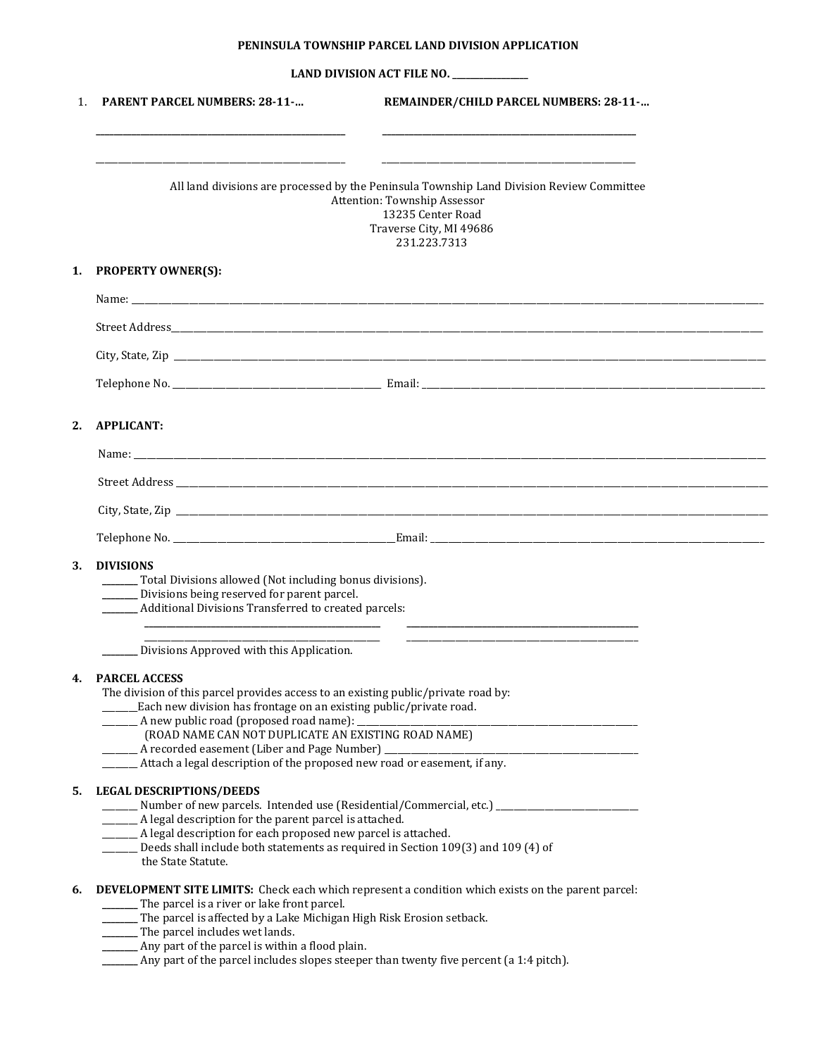## **PENINSULA TOWNSHIP PARCEL LAND DIVISION APPLICATION**

| LAND DIVISION ACT FILE NO. |
|----------------------------|
|----------------------------|

| $\mathbf{1}$ . | <b>PARENT PARCEL NUMBERS: 28-11-</b>                                                                                                                                                      | REMAINDER/CHILD PARCEL NUMBERS: 28-11- |
|----------------|-------------------------------------------------------------------------------------------------------------------------------------------------------------------------------------------|----------------------------------------|
|                | All land divisions are processed by the Peninsula Township Land Division Review Committee<br>Attention: Township Assessor<br>13235 Center Road<br>Traverse City, MI 49686<br>231.223.7313 |                                        |
| 1.             | <b>PROPERTY OWNER(S):</b>                                                                                                                                                                 |                                        |
|                |                                                                                                                                                                                           |                                        |
|                |                                                                                                                                                                                           |                                        |
|                |                                                                                                                                                                                           |                                        |
|                |                                                                                                                                                                                           |                                        |
|                |                                                                                                                                                                                           |                                        |
| 2.             | <b>APPLICANT:</b>                                                                                                                                                                         |                                        |
|                |                                                                                                                                                                                           |                                        |
|                |                                                                                                                                                                                           |                                        |
|                |                                                                                                                                                                                           |                                        |
|                |                                                                                                                                                                                           |                                        |
|                |                                                                                                                                                                                           |                                        |
| 3.             | <b>DIVISIONS</b>                                                                                                                                                                          |                                        |
|                | ______ Total Divisions allowed (Not including bonus divisions).                                                                                                                           |                                        |
|                | _______ Divisions being reserved for parent parcel.<br>________ Additional Divisions Transferred to created parcels:                                                                      |                                        |
|                |                                                                                                                                                                                           |                                        |
|                | Divisions Approved with this Application.                                                                                                                                                 |                                        |
|                |                                                                                                                                                                                           |                                        |
|                | <b>PARCEL ACCESS</b><br>The division of this parcel provides access to an existing public/private road by:                                                                                |                                        |
|                | ______Each new division has frontage on an existing public/private road.                                                                                                                  |                                        |
|                | (ROAD NAME CAN NOT DUPLICATE AN EXISTING ROAD NAME)                                                                                                                                       |                                        |
|                |                                                                                                                                                                                           |                                        |
|                |                                                                                                                                                                                           |                                        |
| 5.             | <b>LEGAL DESCRIPTIONS/DEEDS</b>                                                                                                                                                           |                                        |
|                |                                                                                                                                                                                           |                                        |
|                |                                                                                                                                                                                           |                                        |
|                | _______ A legal description for the parent parcel is attached.                                                                                                                            |                                        |
|                | _______ A legal description for each proposed new parcel is attached.                                                                                                                     |                                        |
|                | Deeds shall include both statements as required in Section 109(3) and 109 (4) of<br>the State Statute.                                                                                    |                                        |
| 6.             |                                                                                                                                                                                           |                                        |
|                | DEVELOPMENT SITE LIMITS: Check each which represent a condition which exists on the parent parcel:<br>The parcel is a river or lake front parcel.                                         |                                        |
|                | _______ The parcel is affected by a Lake Michigan High Risk Erosion setback.                                                                                                              |                                        |
|                | _______ The parcel includes wet lands.<br>_______ Any part of the parcel is within a flood plain.                                                                                         |                                        |